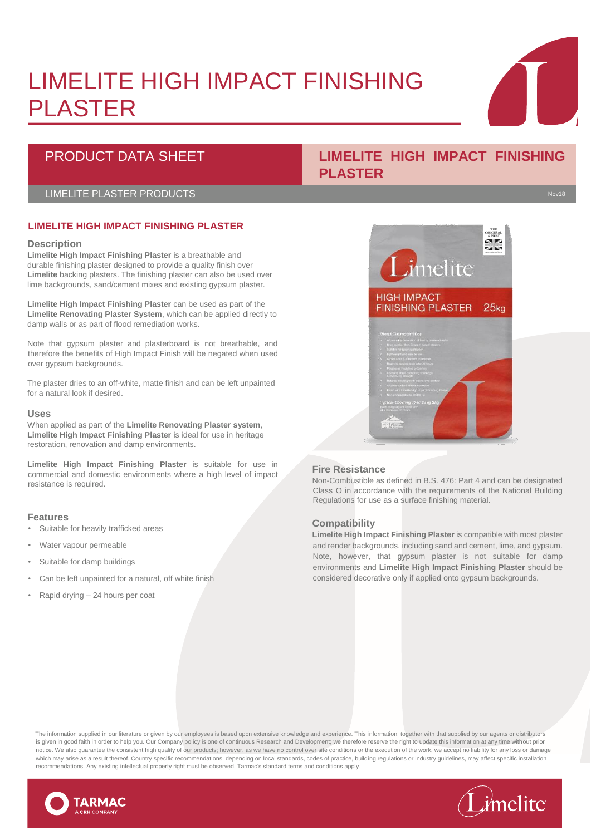# LIMELITE HIGH IMPACT FINISHING PLASTER

# PRODUCT DATA SHEET **LIMELITE HIGH IMPACT FINISHING**

### LIMELITE PLASTER PRODUCTS Novel and the set of the set of the set of the set of the set of the set of the set o

# **LIMELITE HIGH IMPACT FINISHING PLASTER**

#### **Description**

**Limelite High Impact Finishing Plaster** is a breathable and durable finishing plaster designed to provide a quality finish over **Limelite** backing plasters. The finishing plaster can also be used over lime backgrounds, sand/cement mixes and existing gypsum plaster.

**Limelite High Impact Finishing Plaster** can be used as part of the **Limelite Renovating Plaster System**, which can be applied directly to damp walls or as part of flood remediation works.

Note that gypsum plaster and plasterboard is not breathable, and therefore the benefits of High Impact Finish will be negated when used over gypsum backgrounds.

The plaster dries to an off-white, matte finish and can be left unpainted for a natural look if desired.

#### **Uses**

When applied as part of the **Limelite Renovating Plaster system**, **Limelite High Impact Finishing Plaster** is ideal for use in heritage restoration, renovation and damp environments.

**Limelite High Impact Finishing Plaster** is suitable for use in commercial and domestic environments where a high level of impact resistance is required.

#### **Features**

- Suitable for heavily trafficked areas
- Water vapour permeable
- Suitable for damp buildings
- Can be left unpainted for a natural, off white finish
- Rapid drying 24 hours per coat

# **PLASTER**



### **Fire Resistance**

Non-Combustible as defined in B.S. 476: Part 4 and can be designated Class O in accordance with the requirements of the National Building Regulations for use as a surface finishing material.

# **Compatibility**

**Limelite High Impact Finishing Plaster** is compatible with most plaster and render backgrounds, including sand and cement, lime, and gypsum. Note, however, that gypsum plaster is not suitable for damp environments and **Limelite High Impact Finishing Plaster** should be considered decorative only if applied onto gypsum backgrounds.

The information supplied in our literature or given by our employees is based upon extensive knowledge and experience. This information, together with that supplied by our agents or distributors, is given in good faith in order to help you. Our Company policy is one of continuous Research and Development; we therefore reserve the right to update this information at any time without prior notice. We also guarantee the consistent high quality of our products; however, as we have no control over site conditions or the execution of the work, we accept no liability for any loss or damage which may arise as a result thereof. Country specific recommendations, depending on local standards, codes of practice, building regulations or industry guidelines, may affect specific installation recommendations. Any existing intellectual property right must be observed. Tarmac's standard terms and conditions apply.





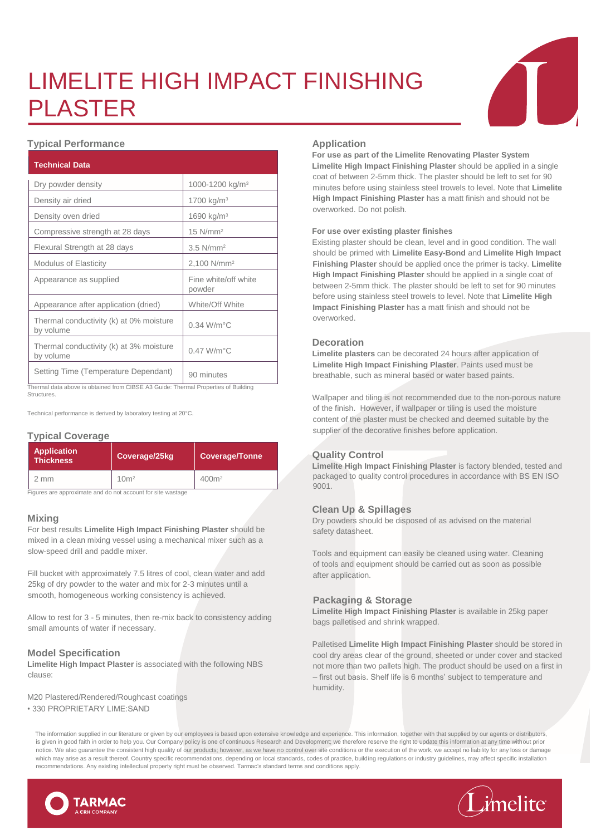# LIMELITE HIGH IMPACT FINISHING PLASTER



| <b>Technical Data</b>                                                                                                      |                                |  |
|----------------------------------------------------------------------------------------------------------------------------|--------------------------------|--|
| Dry powder density                                                                                                         | 1000-1200 kg/m <sup>3</sup>    |  |
| Density air dried                                                                                                          | 1700 kg/m <sup>3</sup>         |  |
| Density oven dried                                                                                                         | 1690 kg/m <sup>3</sup>         |  |
| Compressive strength at 28 days                                                                                            | $15$ N/mm <sup>2</sup>         |  |
| Flexural Strength at 28 days                                                                                               | $3.5$ N/mm <sup>2</sup>        |  |
| <b>Modulus of Elasticity</b>                                                                                               | 2,100 N/mm <sup>2</sup>        |  |
| Appearance as supplied                                                                                                     | Fine white/off white<br>powder |  |
| Appearance after application (dried)                                                                                       | White/Off White                |  |
| Thermal conductivity (k) at 0% moisture<br>by volume                                                                       | $0.34$ W/m $^{\circ}$ C        |  |
| Thermal conductivity (k) at 3% moisture<br>by volume                                                                       | $0.47$ W/m $^{\circ}$ C        |  |
| Setting Time (Temperature Dependant)<br>Thormal data above is obtained from CIRSE A3 Quide: Thormal Proportios of Building | 90 minutes                     |  |

Thermal data above is obtained from CIBSE A3 Guide: Thermal Properties of Building **Structures** 

Technical performance is derived by laboratory testing at 20°C.

### **Typical Coverage**

| <b>Application</b><br><b>Thickness</b> | Coverage/25kg    | Coverage/Tonne <sup>'</sup> |
|----------------------------------------|------------------|-----------------------------|
| mm                                     | 10 <sup>m²</sup> | 400m <sup>2</sup>           |

Figures are approximate and do not account for site wastage

#### **Mixing**

For best results **Limelite High Impact Finishing Plaster** should be mixed in a clean mixing vessel using a mechanical mixer such as a slow-speed drill and paddle mixer.

Fill bucket with approximately 7.5 litres of cool, clean water and add 25kg of dry powder to the water and mix for 2-3 minutes until a smooth, homogeneous working consistency is achieved.

Allow to rest for 3 - 5 minutes, then re-mix back to consistency adding small amounts of water if necessary.

### **Model Specification**

**Limelite High Impact Plaster** is associated with the following NBS clause:

M20 Plastered/Rendered/Roughcast coatings • 330 PROPRIETARY LIME:SAND

#### **Application**

**For use as part of the Limelite Renovating Plaster System**

**Limelite High Impact Finishing Plaster** should be applied in a single coat of between 2-5mm thick. The plaster should be left to set for 90 minutes before using stainless steel trowels to level. Note that **Limelite High Impact Finishing Plaster** has a matt finish and should not be overworked. Do not polish.

#### **For use over existing plaster finishes**

Existing plaster should be clean, level and in good condition. The wall should be primed with **Limelite Easy-Bond** and **Limelite High Impact Finishing Plaster** should be applied once the primer is tacky. **Limelite High Impact Finishing Plaster** should be applied in a single coat of between 2-5mm thick. The plaster should be left to set for 90 minutes before using stainless steel trowels to level. Note that **Limelite High Impact Finishing Plaster** has a matt finish and should not be overworked.

#### **Decoration**

**Limelite plasters** can be decorated 24 hours after application of **Limelite High Impact Finishing Plaster**. Paints used must be breathable, such as mineral based or water based paints.

Wallpaper and tiling is not recommended due to the non-porous nature of the finish. However, if wallpaper or tiling is used the moisture content of the plaster must be checked and deemed suitable by the supplier of the decorative finishes before application.

### **Quality Control**

**Limelite High Impact Finishing Plaster** is factory blended, tested and packaged to quality control procedures in accordance with BS EN ISO 9001.

### **Clean Up & Spillages**

Dry powders should be disposed of as advised on the material safety datasheet.

Tools and equipment can easily be cleaned using water. Cleaning of tools and equipment should be carried out as soon as possible after application.

### **Packaging & Storage**

**Limelite High Impact Finishing Plaster** is available in 25kg paper bags palletised and shrink wrapped.

Palletised **Limelite High Impact Finishing Plaster** should be stored in cool dry areas clear of the ground, sheeted or under cover and stacked not more than two pallets high. The product should be used on a first in – first out basis. Shelf life is 6 months' subject to temperature and humidity.

The information supplied in our literature or given by our employees is based upon extensive knowledge and experience. This information, together with that supplied by our agents or distributors, is given in good faith in order to help you. Our Company policy is one of continuous Research and Development; we therefore reserve the right to update this information at any time without prior notice. We also guarantee the consistent high quality of our products; however, as we have no control over site conditions or the execution of the work, we accept no liability for any loss or damage which may arise as a result thereof. Country specific recommendations, depending on local standards, codes of practice, building regulations or industry guidelines, may affect specific installation recommendations. Any existing intellectual property right must be observed. Tarmac's standard terms and conditions apply.